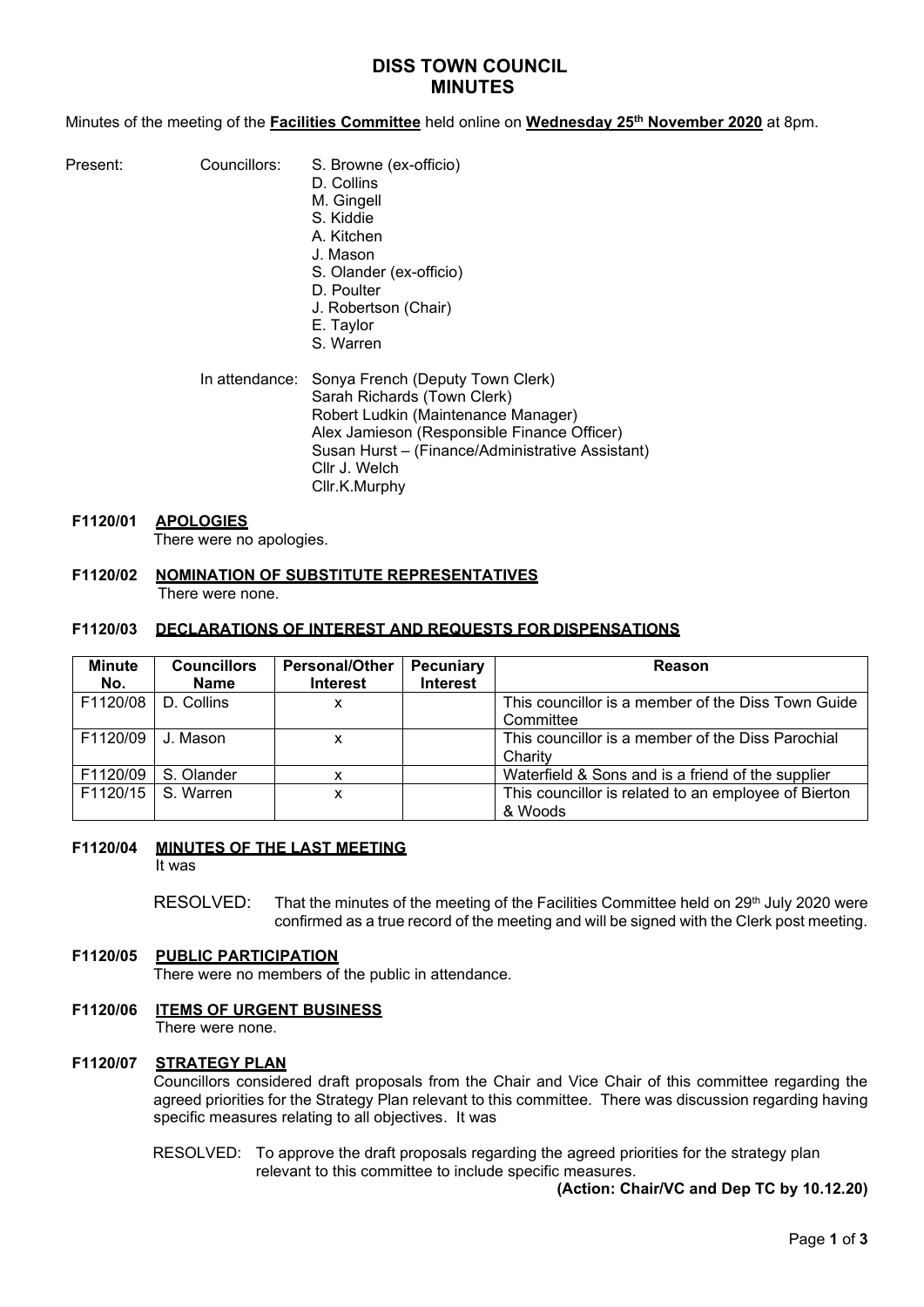# **DISS TOWN COUNCIL MINUTES**

Minutes of the meeting of the **Facilities Committee** held online on **Wednesday 25th November 2020** at 8pm.

| Present: |              | S |
|----------|--------------|---|
|          | Councillors: |   |

- S. Browne (ex-officio)
- D. Collins
- M. Gingell
- S. Kiddie A. Kitchen
- J. Mason
- S. Olander (ex-officio)
- D. Poulter
- J. Robertson (Chair)
- E. Taylor
- S. Warren

#### In attendance: Sonya French (Deputy Town Clerk) Sarah Richards (Town Clerk) Robert Ludkin (Maintenance Manager) Alex Jamieson (Responsible Finance Officer) Susan Hurst – (Finance/Administrative Assistant) Cllr J. Welch Cllr.K.Murphy

# **F1120/01 APOLOGIES**

There were no apologies.

### **F1120/02 NOMINATION OF SUBSTITUTE REPRESENTATIVES** There were none.

## **F1120/03 DECLARATIONS OF INTEREST AND REQUESTS FOR DISPENSATIONS**

| Minute<br>No. | <b>Councillors</b><br><b>Name</b> | <b>Personal/Other</b><br><b>Interest</b> | Pecuniary<br><b>Interest</b> | <b>Reason</b>                                                   |
|---------------|-----------------------------------|------------------------------------------|------------------------------|-----------------------------------------------------------------|
| F1120/08      | D. Collins                        | x                                        |                              | This councillor is a member of the Diss Town Guide<br>Committee |
| F1120/09      | J. Mason                          | x                                        |                              | This councillor is a member of the Diss Parochial<br>Charity    |
| F1120/09      | S. Olander                        |                                          |                              | Waterfield & Sons and is a friend of the supplier               |
| F1120/15      | S. Warren                         | x                                        |                              | This councillor is related to an employee of Bierton<br>& Woods |

## **F1120/04 MINUTES OF THE LAST MEETING**

It was

RESOLVED: That the minutes of the meeting of the Facilities Committee held on 29<sup>th</sup> July 2020 were confirmed as a true record of the meeting and will be signed with the Clerk post meeting.

## **F1120/05 PUBLIC PARTICIPATION**

There were no members of the public in attendance.

## **F1120/06 ITEMS OF URGENT BUSINESS**

There were none.

## **F1120/07 STRATEGY PLAN**

Councillors considered draft proposals from the Chair and Vice Chair of this committee regarding the agreed priorities for the Strategy Plan relevant to this committee. There was discussion regarding having specific measures relating to all objectives. It was

#### RESOLVED: To approve the draft proposals regarding the agreed priorities for the strategy plan relevant to this committee to include specific measures.

**(Action: Chair/VC and Dep TC by 10.12.20)**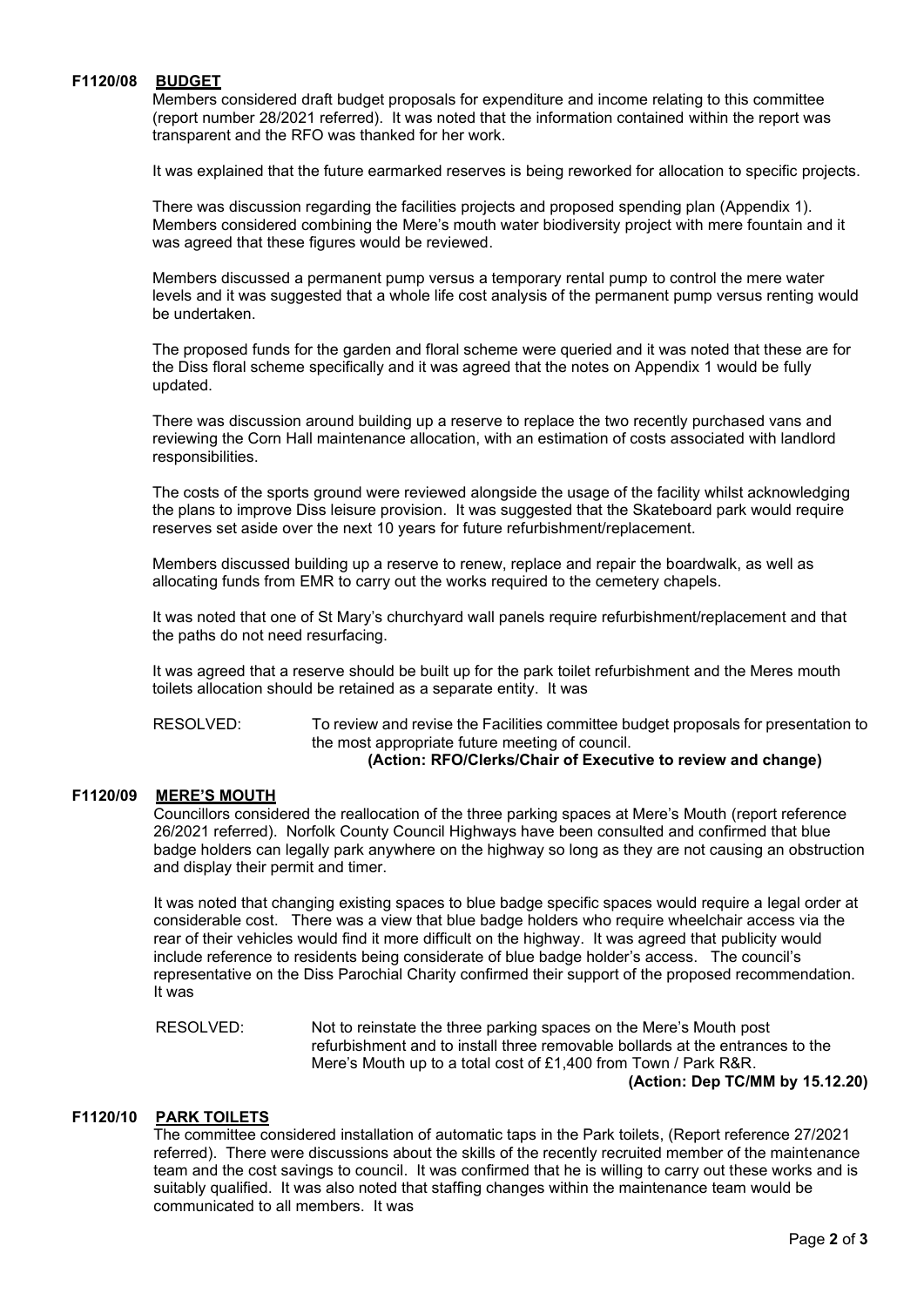#### **F1120/08 BUDGET**

Members considered draft budget proposals for expenditure and income relating to this committee (report number 28/2021 referred). It was noted that the information contained within the report was transparent and the RFO was thanked for her work.

It was explained that the future earmarked reserves is being reworked for allocation to specific projects.

There was discussion regarding the facilities projects and proposed spending plan (Appendix 1). Members considered combining the Mere's mouth water biodiversity project with mere fountain and it was agreed that these figures would be reviewed.

Members discussed a permanent pump versus a temporary rental pump to control the mere water levels and it was suggested that a whole life cost analysis of the permanent pump versus renting would be undertaken.

The proposed funds for the garden and floral scheme were queried and it was noted that these are for the Diss floral scheme specifically and it was agreed that the notes on Appendix 1 would be fully updated.

There was discussion around building up a reserve to replace the two recently purchased vans and reviewing the Corn Hall maintenance allocation, with an estimation of costs associated with landlord responsibilities.

The costs of the sports ground were reviewed alongside the usage of the facility whilst acknowledging the plans to improve Diss leisure provision. It was suggested that the Skateboard park would require reserves set aside over the next 10 years for future refurbishment/replacement.

Members discussed building up a reserve to renew, replace and repair the boardwalk, as well as allocating funds from EMR to carry out the works required to the cemetery chapels.

It was noted that one of St Mary's churchyard wall panels require refurbishment/replacement and that the paths do not need resurfacing.

It was agreed that a reserve should be built up for the park toilet refurbishment and the Meres mouth toilets allocation should be retained as a separate entity. It was

 RESOLVED: To review and revise the Facilities committee budget proposals for presentation to the most appropriate future meeting of council. **(Action: RFO/Clerks/Chair of Executive to review and change)**

### **F1120/09 MERE'S MOUTH**

Councillors considered the reallocation of the three parking spaces at Mere's Mouth (report reference 26/2021 referred). Norfolk County Council Highways have been consulted and confirmed that blue badge holders can legally park anywhere on the highway so long as they are not causing an obstruction and display their permit and timer.

It was noted that changing existing spaces to blue badge specific spaces would require a legal order at considerable cost. There was a view that blue badge holders who require wheelchair access via the rear of their vehicles would find it more difficult on the highway. It was agreed that publicity would include reference to residents being considerate of blue badge holder's access. The council's representative on the Diss Parochial Charity confirmed their support of the proposed recommendation. It was

RESOLVED: Not to reinstate the three parking spaces on the Mere's Mouth post refurbishment and to install three removable bollards at the entrances to the Mere's Mouth up to a total cost of £1,400 from Town / Park R&R. **(Action: Dep TC/MM by 15.12.20)**

### **F1120/10 PARK TOILETS**

The committee considered installation of automatic taps in the Park toilets, (Report reference 27/2021 referred). There were discussions about the skills of the recently recruited member of the maintenance team and the cost savings to council. It was confirmed that he is willing to carry out these works and is suitably qualified. It was also noted that staffing changes within the maintenance team would be communicated to all members. It was